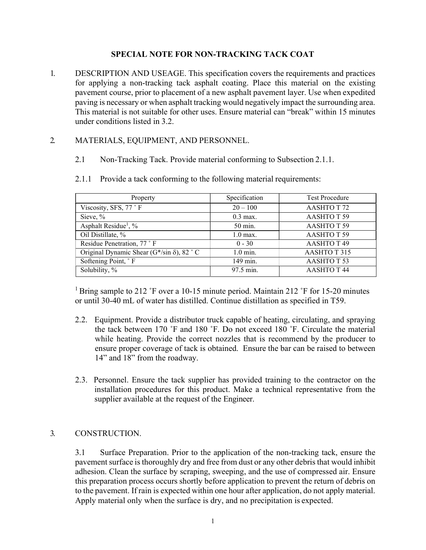## SPECIAL NOTE FOR NON-TRACKING TACK COAT

1. DESCRIPTION AND USEAGE. This specification covers the requirements and practices for applying a non-tracking tack asphalt coating. Place this material on the existing pavement course, prior to placement of a new asphalt pavement layer. Use when expedited paving is necessary or when asphalt tracking would negatively impact the surrounding area. This material is not suitable for other uses. Ensure material can "break" within 15 minutes under conditions listed in 3.2.

## 2. MATERIALS, EQUIPMENT, AND PERSONNEL.

2.1 Non-Tracking Tack. Provide material conforming to Subsection 2.1.1.

| Property                                            | Specification | <b>Test Procedure</b> |
|-----------------------------------------------------|---------------|-----------------------|
| Viscosity, SFS, 77 °F                               | $20 - 100$    | AASHTO T 72           |
| Sieve, %                                            | $0.3$ max.    | AASHTOT <sub>59</sub> |
| Asphalt Residue <sup>1</sup> , %                    | 50 min.       | AASHTOT <sub>59</sub> |
| Oil Distillate, %                                   | $1.0$ max.    | AASHTOT <sub>59</sub> |
| Residue Penetration, 77 °F                          | $0 - 30$      | AASHTOT <sub>49</sub> |
| Original Dynamic Shear ( $G^*/sin \delta$ ), 82 ° C | $1.0$ min.    | AASHTOT315            |
| Softening Point, °F                                 | 149 min.      | AASHTOT <sub>53</sub> |
| Solubility, %                                       | 97.5 min.     | <b>AASHTOT44</b>      |

2.1.1 Provide a tack conforming to the following material requirements:

<sup>1</sup> Bring sample to 212 °F over a 10-15 minute period. Maintain 212 °F for 15-20 minutes or until 30-40 mL of water has distilled. Continue distillation as specified in T59.

- 2.2. Equipment. Provide a distributor truck capable of heating, circulating, and spraying the tack between 170 ˚F and 180 ˚F. Do not exceed 180 ˚F. Circulate the material while heating. Provide the correct nozzles that is recommend by the producer to ensure proper coverage of tack is obtained. Ensure the bar can be raised to between 14" and 18" from the roadway.
- 2.3. Personnel. Ensure the tack supplier has provided training to the contractor on the installation procedures for this product. Make a technical representative from the supplier available at the request of the Engineer.

## 3. CONSTRUCTION.

3.1 Surface Preparation. Prior to the application of the non-tracking tack, ensure the pavement surface is thoroughly dry and free from dust or any other debris that would inhibit adhesion. Clean the surface by scraping, sweeping, and the use of compressed air. Ensure this preparation process occurs shortly before application to prevent the return of debris on to the pavement. If rain is expected within one hour after application, do not apply material. Apply material only when the surface is dry, and no precipitation is expected.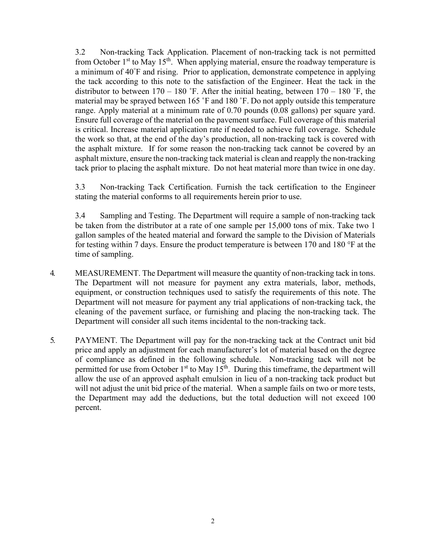3.2 Non-tracking Tack Application. Placement of non-tracking tack is not permitted from October  $1<sup>st</sup>$  to May  $15<sup>th</sup>$ . When applying material, ensure the roadway temperature is a minimum of 40°F and rising. Prior to application, demonstrate competence in applying the tack according to this note to the satisfaction of the Engineer. Heat the tack in the distributor to between  $170 - 180$  °F. After the initial heating, between  $170 - 180$  °F, the material may be sprayed between 165 ˚F and 180 ˚F. Do not apply outside this temperature range. Apply material at a minimum rate of 0.70 pounds (0.08 gallons) per square yard. Ensure full coverage of the material on the pavement surface. Full coverage of this material is critical. Increase material application rate if needed to achieve full coverage. Schedule the work so that, at the end of the day's production, all non-tracking tack is covered with the asphalt mixture. If for some reason the non-tracking tack cannot be covered by an asphalt mixture, ensure the non-tracking tack material is clean and reapply the non-tracking tack prior to placing the asphalt mixture. Do not heat material more than twice in one day.

3.3 Non-tracking Tack Certification. Furnish the tack certification to the Engineer stating the material conforms to all requirements herein prior to use.

3.4 Sampling and Testing. The Department will require a sample of non-tracking tack be taken from the distributor at a rate of one sample per 15,000 tons of mix. Take two 1 gallon samples of the heated material and forward the sample to the Division of Materials for testing within 7 days. Ensure the product temperature is between 170 and 180 °F at the time of sampling.

- 4. MEASUREMENT. The Department will measure the quantity of non-tracking tack in tons. The Department will not measure for payment any extra materials, labor, methods, equipment, or construction techniques used to satisfy the requirements of this note. The Department will not measure for payment any trial applications of non-tracking tack, the cleaning of the pavement surface, or furnishing and placing the non-tracking tack. The Department will consider all such items incidental to the non-tracking tack.
- 5. PAYMENT. The Department will pay for the non-tracking tack at the Contract unit bid price and apply an adjustment for each manufacturer's lot of material based on the degree of compliance as defined in the following schedule. Non-tracking tack will not be permitted for use from October  $1<sup>st</sup>$  to May  $15<sup>th</sup>$ . During this timeframe, the department will allow the use of an approved asphalt emulsion in lieu of a non-tracking tack product but will not adjust the unit bid price of the material. When a sample fails on two or more tests, the Department may add the deductions, but the total deduction will not exceed 100 percent.